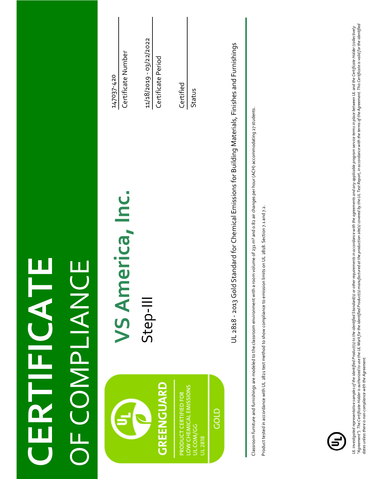| <b>NANDECOF</b>                                                                     |                                                                                                                                                                                                                                                                                                                                                                                                                                                                  |                                               |
|-------------------------------------------------------------------------------------|------------------------------------------------------------------------------------------------------------------------------------------------------------------------------------------------------------------------------------------------------------------------------------------------------------------------------------------------------------------------------------------------------------------------------------------------------------------|-----------------------------------------------|
|                                                                                     | VS America, Inc.                                                                                                                                                                                                                                                                                                                                                                                                                                                 | Certificate Number<br>147037-420              |
| <b><i>GREENGUARD</i></b>                                                            | Step-III                                                                                                                                                                                                                                                                                                                                                                                                                                                         | 11/18/2019 - 03/22/2022<br>Certificate Period |
| LOW CHEMICAL EMISSIONS<br>PRODUCT CERTIFIED FOR<br>ဒ္ဓ<br>UL.COM/<br><b>UL 2818</b> |                                                                                                                                                                                                                                                                                                                                                                                                                                                                  | Certified<br><b>Status</b>                    |
| GOLD                                                                                | UL 2818 - 2013 Gold Standard for Chemical Emissions for Building Materials, Finishes and Furnishings                                                                                                                                                                                                                                                                                                                                                             |                                               |
|                                                                                     | Classroom furniture and furnishings are modeled to the classroom environment with a room volume of 231 m <sup>3</sup> and o.82 air changes per hour (ACH) accommodating 27 students.<br>Product tested in accordance with UL 2821 test method to show compliance to emission limits on UL 2818. Section 7.1 and 7.2.                                                                                                                                             |                                               |
|                                                                                     |                                                                                                                                                                                                                                                                                                                                                                                                                                                                  |                                               |
|                                                                                     |                                                                                                                                                                                                                                                                                                                                                                                                                                                                  |                                               |
|                                                                                     |                                                                                                                                                                                                                                                                                                                                                                                                                                                                  |                                               |
| dates unless there is non-compliance with the Agreement.                            | "Agreement"). The Certificate Holder is authorized to use the UL Mark for the identified Product(s) manufactured at the poduction site(s) covered by the UL Test Report, in accordance with the terms of the Agreement. This C<br>UL investigated representative samples of the identified Product(s) to the identified Standard(s) or other requirements in accordance with the agreements and any applicable program service terms in place between UL and the |                                               |

**CERTIFICATE**

CERTIFICATE